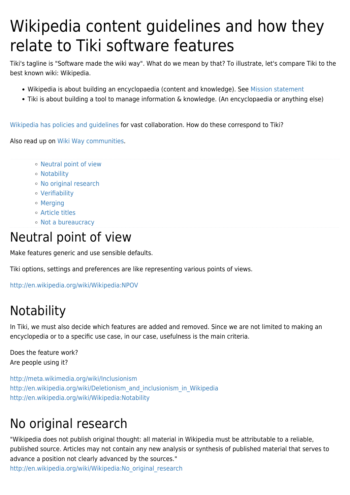# Wikipedia content guidelines and how they relate to Tiki software features

Tiki's tagline is "Software made the wiki way". What do we mean by that? To illustrate, let's compare Tiki to the best known wiki: Wikipedia.

- Wikipedia is about building an encyclopaedia (content and knowledge). See [Mission statement](http://wikimediafoundation.org/wiki/Mission)
- Tiki is about building a tool to manage information & knowledge. (An encyclopaedia or anything else)

[Wikipedia has policies and guidelines](http://en.wikipedia.org/wiki/Wikipedia:Policies_and_guidelines) for vast collaboration. How do these correspond to Tiki?

Also read up on [Wiki Way communities.](http://www.aboutus.org/The_Wiki_Way)

- [Neutral point of view](#page--1-0)
- [Notability](#page--1-0)
- [No original research](#page--1-0)
- [Verifiability](#page--1-0)
- [Merging](#page--1-0)
- [Article titles](#page--1-0)
- [Not a bureaucracy](#page--1-0)

#### Neutral point of view

Make features generic and use sensible defaults.

Tiki options, settings and preferences are like representing various points of views.

<http://en.wikipedia.org/wiki/Wikipedia:NPOV>

## **Notability**

In Tiki, we must also decide which features are added and removed. Since we are not limited to making an encyclopedia or to a specific use case, in our case, usefulness is the main criteria.

Does the feature work? Are people using it?

<http://meta.wikimedia.org/wiki/Inclusionism> [http://en.wikipedia.org/wiki/Deletionism\\_and\\_inclusionism\\_in\\_Wikipedia](http://en.wikipedia.org/wiki/Deletionism_and_inclusionism_in_Wikipedia) <http://en.wikipedia.org/wiki/Wikipedia:Notability>

## No original research

"Wikipedia does not publish original thought: all material in Wikipedia must be attributable to a reliable, published source. Articles may not contain any new analysis or synthesis of published material that serves to advance a position not clearly advanced by the sources."

[http://en.wikipedia.org/wiki/Wikipedia:No\\_original\\_research](http://en.wikipedia.org/wiki/Wikipedia:No_original_research)